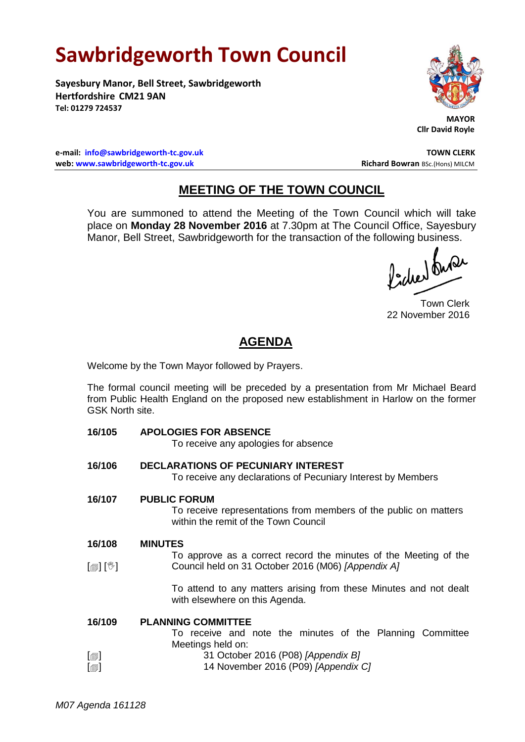# **Sawbridgeworth Town Council**

**Sayesbury Manor, Bell Street, Sawbridgeworth Hertfordshire CM21 9AN Tel: 01279 724537**



 **MAYOR Cllr David Royle**

**e-mail: [info@sawbridgeworth-tc.gov.uk](mailto:info@sawbridgeworth-tc.gov.uk) TOWN CLERK web: www.sawbridgeworth-tc.gov.uk and Bowran BSc.(Hons) MILCM Richard Bowran BSc.(Hons) MILCM** 

## **MEETING OF THE TOWN COUNCIL**

You are summoned to attend the Meeting of the Town Council which will take place on **Monday 28 November 2016** at 7.30pm at The Council Office, Sayesbury Manor, Bell Street, Sawbridgeworth for the transaction of the following business.

Picked Que

Town Clerk 22 November 2016

## **AGENDA**

Welcome by the Town Mayor followed by Prayers.

The formal council meeting will be preceded by a presentation from Mr Michael Beard from Public Health England on the proposed new establishment in Harlow on the former GSK North site.

| 16/105                     | <b>APOLOGIES FOR ABSENCE</b>                                                                             |
|----------------------------|----------------------------------------------------------------------------------------------------------|
|                            | To receive any apologies for absence                                                                     |
| 16/106                     | <b>DECLARATIONS OF PECUNIARY INTEREST</b>                                                                |
|                            | To receive any declarations of Pecuniary Interest by Members                                             |
| 16/107                     | <b>PUBLIC FORUM</b>                                                                                      |
|                            | To receive representations from members of the public on matters<br>within the remit of the Town Council |
| 16/108                     | <b>MINUTES</b>                                                                                           |
|                            | To approve as a correct record the minutes of the Meeting of the                                         |
| $\mathbb{D}[\mathbb{D}^1]$ | Council held on 31 October 2016 (M06) [Appendix A]                                                       |
|                            | To attend to any matters arising from these Minutes and not dealt<br>with elsewhere on this Agenda.      |
| 16/109                     | <b>PLANNING COMMITTEE</b>                                                                                |
|                            | To receive and note the minutes of the Planning Committee                                                |
|                            | Meetings held on:                                                                                        |
| $\lbrack \oplus \rbrack$   | 31 October 2016 (P08) [Appendix B]                                                                       |
| $[\circledcirc]$           | 14 November 2016 (P09) [Appendix C]                                                                      |